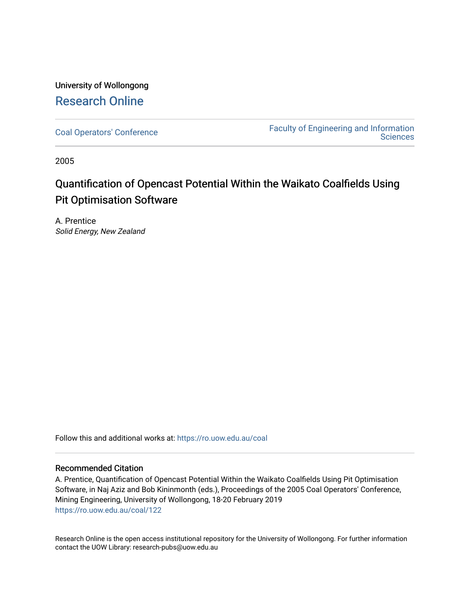## University of Wollongong [Research Online](https://ro.uow.edu.au/)

[Coal Operators' Conference](https://ro.uow.edu.au/coal) [Faculty of Engineering and Information](https://ro.uow.edu.au/eis)  **Sciences** 

2005

# Quantification of Opencast Potential Within the Waikato Coalfields Using Pit Optimisation Software

A. Prentice Solid Energy, New Zealand

Follow this and additional works at: [https://ro.uow.edu.au/coal](https://ro.uow.edu.au/coal?utm_source=ro.uow.edu.au%2Fcoal%2F122&utm_medium=PDF&utm_campaign=PDFCoverPages) 

## Recommended Citation

A. Prentice, Quantification of Opencast Potential Within the Waikato Coalfields Using Pit Optimisation Software, in Naj Aziz and Bob Kininmonth (eds.), Proceedings of the 2005 Coal Operators' Conference, Mining Engineering, University of Wollongong, 18-20 February 2019 [https://ro.uow.edu.au/coal/122](https://ro.uow.edu.au/coal/122?utm_source=ro.uow.edu.au%2Fcoal%2F122&utm_medium=PDF&utm_campaign=PDFCoverPages) 

Research Online is the open access institutional repository for the University of Wollongong. For further information contact the UOW Library: research-pubs@uow.edu.au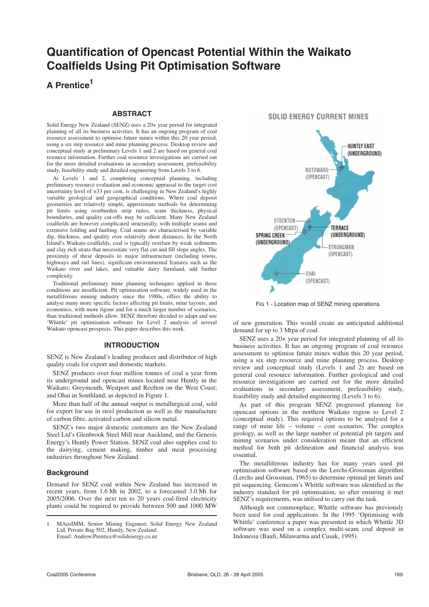## **Quantification of Opencast Potential Within the Waikato Coalfields Using Pit Optimisation Software**

## **A Prentice1**

## **ABSTRACT**

Solid Energy New Zealand (SENZ) uses a 20+ year period for integrated planning of all its business activities. It has an ongoing program of coal resource assessment to optimise future mines within this 20 year period, using a six step resource and mine planning process. Desktop review and conceptual study at preliminary Levels 1 and 2 are based on general coal resource information. Further coal resource investigations are carried out for the more detailed evaluations in secondary assessment, prefeasibility study, feasibility study and detailed engineering from Levels 3 to 6.

At Levels 1 and 2, completing conceptual planning, including preliminary resource evaluation and economic appraisal to the target cost uncertainty level of ±33 per cent, is challenging in New Zealand's highly variable geological and geographical conditions. Where coal deposit geometries are relatively simple, approximate methods for determining pit limits using overburden strip ratios, seam thickness, physical boundaries, and quality cut-offs may be sufficient. Many New Zealand coalfields are however complicated structurally, with multiple seams and extensive folding and faulting. Coal seams are characterised by variable dip, thickness, and quality over relatively short distances. In the North Island's Waikato coalfields, coal is typically overlain by weak sediments and clay rich strata that necessitate very flat cut and fill slope angles. The proximity of these deposits to major infrastructure (including towns, highways and rail lines), significant environmental features such as the Waikato river and lakes, and valuable dairy farmland, add further complexity.

Traditional preliminary mine planning techniques applied in these conditions are insufficient. Pit optimisation software, widely used in the metalliferous mining industry since the 1980s, offers the ability to analyse many more specific factors affecting pit limits, mine layouts, and economics, with more rigour and for a much larger number of scenarios, than traditional methods allow. SENZ therefore decided to adapt and use 'Whittle' pit optimisation software for Level 2 analysis of several Waikato opencast prospects. This paper describes this work.

#### **INTRODUCTION**

SENZ is New Zealand's leading producer and distributor of high quality coals for export and domestic markets.

SENZ produces over four million tonnes of coal a year from its underground and opencast mines located near Huntly in the Waikato; Greymouth, Westport and Reefton on the West Coast; and Ohai in Southland, as depicted in Figure 1.

More than half of the annual output is metallurgical coal, sold for export for use in steel production as well as the manufacture of carbon fibre, activated carbon and silicon metal.

SENZ's two major domestic customers are the New Zealand Steel Ltd's Glenbrook Steel Mill near Auckland, and the Genesis Energy's Huntly Power Station. SENZ coal also supplies coal to the dairying, cement making, timber and meat processing industries throughout New Zealand.

## **Background**

Demand for SENZ coal within New Zealand has increased in recent years, from 1.6 Mt in 2002, to a forecasted 3.0 Mt for 2005/2006. Over the next ten to 20 years coal-fired electricity plants could be required to provide between 500 and 1000 MW

## **SOLID ENERGY CURRENT MINES**



FIG 1 - Location map of SENZ mining operations.

of new generation. This would create an anticipated additional demand for up to 3 Mtpa of coal.

SENZ uses a 20+ year period for integrated planning of all its business activities. It has an ongoing program of coal resource assessment to optimise future mines within this 20 year period, using a six step resource and mine planning process. Desktop review and conceptual study (Levels 1 and 2) are based on general coal resource information. Further geological and coal resource investigations are carried out for the more detailed evaluations in secondary assessment, prefeasibility study, feasibility study and detailed engineering (Levels 3 to 6).

As part of this program SENZ progressed planning for opencast options in the northern Waikato region to Level 2 (conceptual study). This required options to be analysed for a range of mine life – volume – cost scenarios. The complex geology, as well as the large number of potential pit targets and mining scenarios under consideration meant that an efficient method for both pit delineation and financial analysis was essential.

The metalliferous industry has for many years used pit optimisation software based on the Lerchs-Grossman algorithm (Lerchs and Grossman, 1965) to determine optimal pit limits and pit sequencing. Gemcom's Whittle software was identified as the industry standard for pit optimisation, so after ensuring it met SENZ's requirements, was utilised to carry out the task.

Although not commonplace, Whittle software has previously been used for coal applications. In the 1995 'Optimising with Whittle' conference a paper was presented in which Whittle 3D software was used on a complex multi-seam coal deposit in Indonesia (Baafi, Milawarma and Cusak, 1995).

<sup>1.</sup> MAusIMM, Senior Mining Engineer, Solid Energy New Zealand Ltd, Private Bag 502, Huntly, New Zealand. Email: Andrew.Prentice@solidenergy.co.nz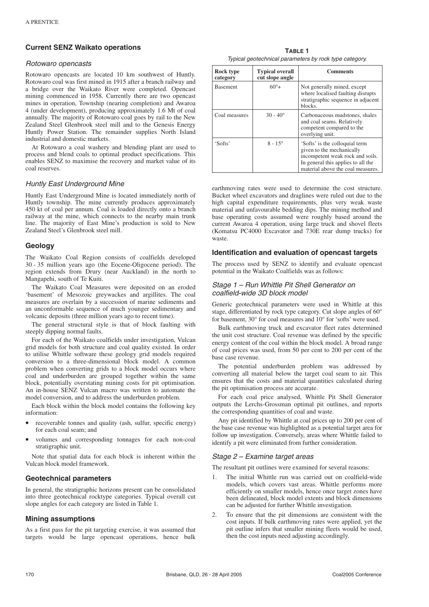## **Current SENZ Waikato operations**

#### Rotowaro opencasts

Rotowaro opencasts are located 10 km southwest of Huntly. Rotowaro coal was first mined in 1915 after a branch railway and a bridge over the Waikato River were completed. Opencast mining commenced in 1958. Currently there are two opencast mines in operation, Township (nearing completion) and Awaroa 4 (under development), producing approximately 1.6 Mt of coal annually. The majority of Rotowaro coal goes by rail to the New Zealand Steel Glenbrook steel mill and to the Genesis Energy Huntly Power Station. The remainder supplies North Island industrial and domestic markets.

At Rotowaro a coal washery and blending plant are used to process and blend coals to optimal product specifications. This enables SENZ to maximise the recovery and market value of its coal reserves.

#### Huntly East Underground Mine

Huntly East Underground Mine is located immediately north of Huntly township. The mine currently produces approximately 450 kt of coal per annum. Coal is loaded directly onto a branch railway at the mine, which connects to the nearby main trunk line. The majority of East Mine's production is sold to New Zealand Steel's Glenbrook steel mill.

#### **Geology**

The Waikato Coal Region consists of coalfields developed 30 - 35 million years ago (the Eocene-Oligocene period). The region extends from Drury (near Auckland) in the north to Mangapehi, south of Te Kuiti.

The Waikato Coal Measures were deposited on an eroded 'basement' of Mesozoic greywackes and argillites. The coal measures are overlain by a succession of marine sediments and an unconformable sequence of much younger sedimentary and volcanic deposits (three million years ago to recent time).

The general structural style is that of block faulting with steeply dipping normal faults.

For each of the Waikato coalfields under investigation, Vulcan grid models for both structure and coal quality existed. In order to utilise Whittle software these geology grid models required conversion to a three-dimensional block model. A common problem when converting grids to a block model occurs where coal and underburden are grouped together within the same block, potentially overstating mining costs for pit optimisation. An in-house SENZ Vulcan macro was written to automate the model conversion, and to address the underburden problem.

Each block within the block model contains the following key information:

- recoverable tonnes and quality (ash, sulfur, specific energy) for each coal seam; and
- volumes and corresponding tonnages for each non-coal stratigraphic unit.

Note that spatial data for each block is inherent within the Vulcan block model framework.

#### **Geotechnical parameters**

In general, the stratigraphic horizons present can be consolidated into three geotechnical rocktype categories. Typical overall cut slope angles for each category are listed in Table 1.

#### **Mining assumptions**

As a first pass for the pit targeting exercise, it was assumed that targets would be large opencast operations, hence bulk

**TABLE 1** Typical geotechnical parameters by rock type category.

| Rock type<br>category | <b>Typical overall</b><br>cut slope angle | <b>Comments</b>                                                                                                                                                            |
|-----------------------|-------------------------------------------|----------------------------------------------------------------------------------------------------------------------------------------------------------------------------|
| <b>Basement</b>       | $60^{\circ}+$                             | Not generally mined, except<br>where localised faulting disrupts<br>stratigraphic sequence in adjacent<br>blocks.                                                          |
| Coal measures         | $30 - 40^{\circ}$                         | Carbonaceous mudstones, shales<br>and coal seams. Relatively<br>competent compared to the<br>overlying unit.                                                               |
| 'Softs'               | $8 - 15^{\circ}$                          | 'Softs' is the colloquial term<br>given to the mechanically<br>incompetent weak rock and soils.<br>In general this applies to all the<br>material above the coal measures. |

earthmoving rates were used to determine the cost structure. Bucket wheel excavators and draglines were ruled out due to the high capital expenditure requirements, plus very weak waste material and unfavourable bedding dips. The mining method and base operating costs assumed were roughly based around the current Awaroa 4 operation, using large truck and shovel fleets (Komatsu PC4000 Excavator and 730E rear dump trucks) for waste.

#### **Identification and evaluation of opencast targets**

The process used by SENZ to identify and evaluate opencast potential in the Waikato Coalfields was as follows:

#### Stage 1 – Run Whittle Pit Shell Generator on coalfield-wide 3D block model

Generic geotechnical parameters were used in Whittle at this stage, differentiated by rock type category. Cut slope angles of 60° for basement, 30° for coal measures and 10° for 'softs' were used.

Bulk earthmoving truck and excavator fleet rates determined the unit cost structure. Coal revenue was defined by the specific energy content of the coal within the block model. A broad range of coal prices was used, from 50 per cent to 200 per cent of the base case revenue.

The potential underburden problem was addressed by converting all material below the target coal seam to air. This ensures that the costs and material quantities calculated during the pit optimisation process are accurate.

For each coal price analysed, Whittle Pit Shell Generator outputs the Lerchs-Grossman optimal pit outlines, and reports the corresponding quantities of coal and waste.

Any pit identified by Whittle at coal prices up to 200 per cent of the base case revenue was highlighted as a potential target area for follow up investigation. Conversely, areas where Whittle failed to identify a pit were eliminated from further consideration.

#### Stage 2 – Examine target areas

The resultant pit outlines were examined for several reasons:

- The initial Whittle run was carried out on coalfield-wide models, which covers vast areas. Whittle performs more efficiently on smaller models, hence once target zones have been delineated, block model extents and block dimensions can be adjusted for further Whittle investigation.
- 2. To ensure that the pit dimensions are consistent with the cost inputs. If bulk earthmoving rates were applied, yet the pit outline infers that smaller mining fleets would be used, then the cost inputs need adjusting accordingly.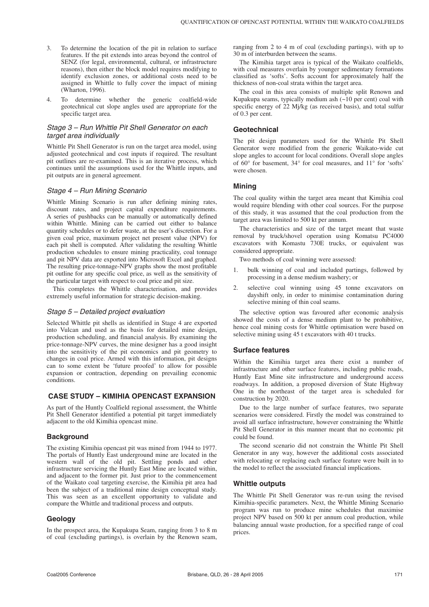- 3. To determine the location of the pit in relation to surface features. If the pit extends into areas beyond the control of SENZ (for legal, environmental, cultural, or infrastructure reasons), then either the block model requires modifying to identify exclusion zones, or additional costs need to be assigned in Whittle to fully cover the impact of mining (Wharton, 1996).
- 4. To determine whether the generic coalfield-wide geotechnical cut slope angles used are appropriate for the specific target area.

## Stage 3 – Run Whittle Pit Shell Generator on each target area individually

Whittle Pit Shell Generator is run on the target area model, using adjusted geotechnical and cost inputs if required. The resultant pit outlines are re-examined. This is an iterative process, which continues until the assumptions used for the Whittle inputs, and pit outputs are in general agreement.

### Stage 4 – Run Mining Scenario

Whittle Mining Scenario is run after defining mining rates, discount rates, and project capital expenditure requirements. A series of pushbacks can be manually or automatically defined within Whittle. Mining can be carried out either to balance quantity schedules or to defer waste, at the user's discretion. For a given coal price, maximum project net present value (NPV) for each pit shell is computed. After validating the resulting Whittle production schedules to ensure mining practicality, coal tonnage and pit NPV data are exported into Microsoft Excel and graphed. The resulting price-tonnage-NPV graphs show the most profitable pit outline for any specific coal price, as well as the sensitivity of the particular target with respect to coal price and pit size.

This completes the Whittle characterisation, and provides extremely useful information for strategic decision-making.

#### Stage 5 – Detailed project evaluation

Selected Whittle pit shells as identified in Stage 4 are exported into Vulcan and used as the basis for detailed mine design, production scheduling, and financial analysis. By examining the price-tonnage-NPV curves, the mine designer has a good insight into the sensitivity of the pit economics and pit geometry to changes in coal price. Armed with this information, pit designs can to some extent be 'future proofed' to allow for possible expansion or contraction, depending on prevailing economic conditions.

## **CASE STUDY – KIMIHIA OPENCAST EXPANSION**

As part of the Huntly Coalfield regional assessment, the Whittle Pit Shell Generator identified a potential pit target immediately adjacent to the old Kimihia opencast mine.

## **Background**

The existing Kimihia opencast pit was mined from 1944 to 1977. The portals of Huntly East underground mine are located in the western wall of the old pit. Settling ponds and other infrastructure servicing the Huntly East Mine are located within, and adjacent to the former pit. Just prior to the commencement of the Waikato coal targeting exercise, the Kimihia pit area had been the subject of a traditional mine design conceptual study. This was seen as an excellent opportunity to validate and compare the Whittle and traditional process and outputs.

#### **Geology**

In the prospect area, the Kupakupa Seam, ranging from 3 to 8 m of coal (excluding partings), is overlain by the Renown seam, ranging from 2 to 4 m of coal (excluding partings), with up to 30 m of interburden between the seams.

The Kimihia target area is typical of the Waikato coalfields, with coal measures overlain by younger sedimentary formations classified as 'softs'. Softs account for approximately half the thickness of non-coal strata within the target area.

The coal in this area consists of multiple split Renown and Kupakupa seams, typically medium ash  $($  $\sim$ 10 per cent) coal with specific energy of 22 Mj/kg (as received basis), and total sulfur of 0.3 per cent.

## **Geotechnical**

The pit design parameters used for the Whittle Pit Shell Generator were modified from the generic Waikato-wide cut slope angles to account for local conditions. Overall slope angles of 60° for basement, 34° for coal measures, and 11° for 'softs' were chosen.

## **Mining**

The coal quality within the target area meant that Kimihia coal would require blending with other coal sources. For the purpose of this study, it was assumed that the coal production from the target area was limited to 500 kt per annum.

The characteristics and size of the target meant that waste removal by truck/shovel operation using Komatsu PC4000 excavators with Komastu 730E trucks, or equivalent was considered appropriate.

Two methods of coal winning were assessed:

- 1. bulk winning of coal and included partings, followed by processing in a dense medium washery; or
- 2. selective coal winning using 45 tonne excavators on dayshift only, in order to minimise contamination during selective mining of thin coal seams.

The selective option was favoured after economic analysis showed the costs of a dense medium plant to be prohibitive, hence coal mining costs for Whittle optimisation were based on selective mining using 45 t excavators with 40 t trucks.

## **Surface features**

Within the Kimihia target area there exist a number of infrastructure and other surface features, including public roads, Huntly East Mine site infrastructure and underground access roadways. In addition, a proposed diversion of State Highway One in the northeast of the target area is scheduled for construction by 2020.

Due to the large number of surface features, two separate scenarios were considered. Firstly the model was constrained to avoid all surface infrastructure, however constraining the Whittle Pit Shell Generator in this manner meant that no economic pit could be found.

The second scenario did not constrain the Whittle Pit Shell Generator in any way, however the additional costs associated with relocating or replacing each surface feature were built in to the model to reflect the associated financial implications.

#### **Whittle outputs**

The Whittle Pit Shell Generator was re-run using the revised Kimihia-specific parameters. Next, the Whittle Mining Scenario program was run to produce mine schedules that maximise project NPV based on 500 kt per annum coal production, while balancing annual waste production, for a specified range of coal prices.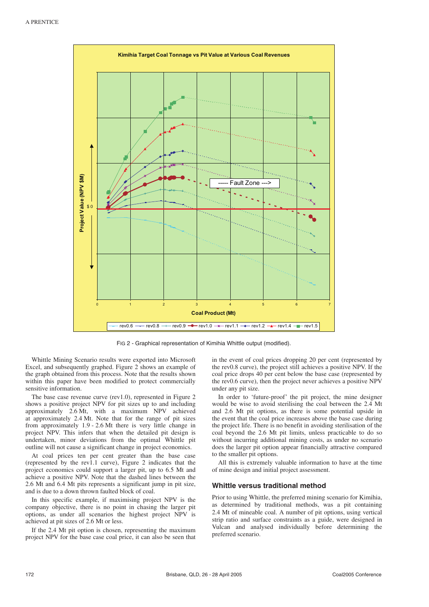

FIG 2 - Graphical representation of Kimihia Whittle output (modified).

Whittle Mining Scenario results were exported into Microsoft Excel, and subsequently graphed. Figure 2 shows an example of the graph obtained from this process. Note that the results shown within this paper have been modified to protect commercially sensitive information.

The base case revenue curve (rev1.0), represented in Figure 2 shows a positive project NPV for pit sizes up to and including approximately 2.6 Mt, with a maximum NPV achieved at approximately 2.4 Mt. Note that for the range of pit sizes from approximately 1.9 - 2.6 Mt there is very little change in project NPV. This infers that when the detailed pit design is undertaken, minor deviations from the optimal Whittle pit outline will not cause a significant change in project economics.

At coal prices ten per cent greater than the base case (represented by the rev $\hat{1}$ .1 curve), Figure 2 indicates that the project economics could support a larger pit, up to 6.5 Mt and achieve a positive NPV. Note that the dashed lines between the 2.6 Mt and 6.4 Mt pits represents a significant jump in pit size, and is due to a down thrown faulted block of coal.

In this specific example, if maximising project NPV is the company objective, there is no point in chasing the larger pit options, as under all scenarios the highest project NPV is achieved at pit sizes of 2.6 Mt or less.

If the 2.4 Mt pit option is chosen, representing the maximum project NPV for the base case coal price, it can also be seen that in the event of coal prices dropping 20 per cent (represented by the rev0.8 curve), the project still achieves a positive NPV. If the coal price drops 40 per cent below the base case (represented by the rev0.6 curve), then the project never achieves a positive NPV under any pit size.

In order to 'future-proof' the pit project, the mine designer would be wise to avoid sterilising the coal between the 2.4 Mt and 2.6 Mt pit options, as there is some potential upside in the event that the coal price increases above the base case during the project life. There is no benefit in avoiding sterilisation of the coal beyond the 2.6 Mt pit limits, unless practicable to do so without incurring additional mining costs, as under no scenario does the larger pit option appear financially attractive compared to the smaller pit options.

All this is extremely valuable information to have at the time of mine design and initial project assessment.

#### **Whittle versus traditional method**

Prior to using Whittle, the preferred mining scenario for Kimihia, as determined by traditional methods, was a pit containing 2.4 Mt of mineable coal. A number of pit options, using vertical strip ratio and surface constraints as a guide, were designed in Vulcan and analysed individually before determining the preferred scenario.